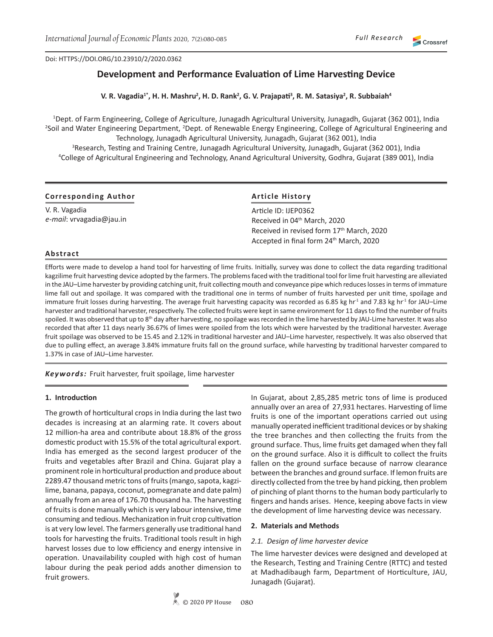Crossref

Doi: HTTPS://DOI.ORG/10.23910/2/2020.0343

# **Development and Performance Evaluation of Lime Harvesting Device**

**V. R. Vagadia1\*, H. H. Mashru<sup>2</sup> , H. D. Rank<sup>2</sup> , G. V. Prajapati<sup>3</sup> , R. M. Satasiya<sup>2</sup> , R. Subbaiah<sup>4</sup>**

1 Dept. of Farm Engineering, College of Agriculture, Junagadh Agricultural University, Junagadh, Gujarat (362 001), India <sup>2</sup>Soil and Water Engineering Department, <sup>2</sup>Dept. of Renewable Energy Engineering, College of Agricultural Engineering and Technology, Junagadh Agricultural University, Junagadh, Gujarat (362 001), India 3 Research, Testing and Training Centre, Junagadh Agricultural University, Junagadh, Gujarat (362 001), India 4 College of Agricultural Engineering and Technology, Anand Agricultural University, Godhra, Gujarat (389 001), India

### **Corresponding Author**

V. R. Vagadia *e-mail*: vrvagadia@jau.in

## **Article History**

Article ID: IJEP0362 Article ID: IJEP036<mark>2</mark><br>Received in 04<sup>th</sup> March, 2020 Received in revised form Received in revised form 17th March, 2020 Accepted in final form 24<sup>th</sup> March, 2020

#### **Abstract**

Efforts were made to develop a hand tool for harvesting of lime fruits. Initially, survey was done to collect the data regarding traditional kagzilime fruit harvesting device adopted by the farmers. The problems faced with the traditional tool for lime fruit harvesting are alleviated in the JAU–Lime harvester by providing catching unit, fruit collecting mouth and conveyance pipe which reduces losses in terms of immature lime fall out and spoilage. It was compared with the traditional one in terms of number of fruits harvested per unit time, spoilage and immature fruit losses during harvesting. The average fruit harvesting capacity was recorded as 6.85 kg hr<sup>-1</sup> and 7.83 kg hr<sup>-1</sup> for JAU–Lime harvester and traditional harvester, respectively. The collected fruits were kept in same environment for 11 days to find the number of fruits spoiled. It was observed that up to 8<sup>th</sup> day after harvesting, no spoilage was recorded in the lime harvested by JAU-Lime harvester. It was also recorded that after 11 days nearly 36.67% of limes were spoiled from the lots which were harvested by the traditional harvester. Average fruit spoilage was observed to be 15.45 and 2.12% in traditional harvester and JAU–Lime harvester, respectively. It was also observed that due to pulling effect, an average 3.84% immature fruits fall on the ground surface, while harvesting by traditional harvester compared to 1.37% in case of JAU–Lime harvester.

*Keywords:* Fruit harvester, fruit spoilage, lime harvester

#### **1. Introduction**

The growth of horticultural crops in India during the last two decades is increasing at an alarming rate. It covers about 12 million-ha area and contribute about 18.8% of the gross domestic product with 15.5% of the total agricultural export. India has emerged as the second largest producer of the fruits and vegetables after Brazil and China. Gujarat play a prominent role in horticultural production and produce about 2289.47 thousand metric tons of fruits (mango, sapota, kagzilime, banana, papaya, coconut, pomegranate and date palm) annually from an area of 176.70 thousand ha. The harvesting of fruits is done manually which is very labour intensive, time consuming and tedious. Mechanization in fruit crop cultivation is at very low level. The farmers generally use traditional hand tools for harvesting the fruits. Traditional tools result in high harvest losses due to low efficiency and energy intensive in operation. Unavailability coupled with high cost of human labour during the peak period adds another dimension to fruit growers.

In Gujarat, about 2,85,285 metric tons of lime is produced annually over an area of 27,931 hectares. Harvesting of lime fruits is one of the important operations carried out using manually operated inefficient traditional devices or by shaking the tree branches and then collecting the fruits from the ground surface. Thus, lime fruits get damaged when they fall on the ground surface. Also it is difficult to collect the fruits fallen on the ground surface because of narrow clearance between the branches and ground surface. If lemon fruits are directly collected from the tree by hand picking, then problem of pinching of plant thorns to the human body particularly to fingers and hands arises. Hence, keeping above facts in view the development of lime harvesting device was necessary.

#### **2. Materials and Methods**

#### *2.1. Design of lime harvester device*

The lime harvester devices were designed and developed at the Research, Testing and Training Centre (RTTC) and tested at Madhadibaugh farm, Department of Horticulture, JAU, Junagadh (Gujarat).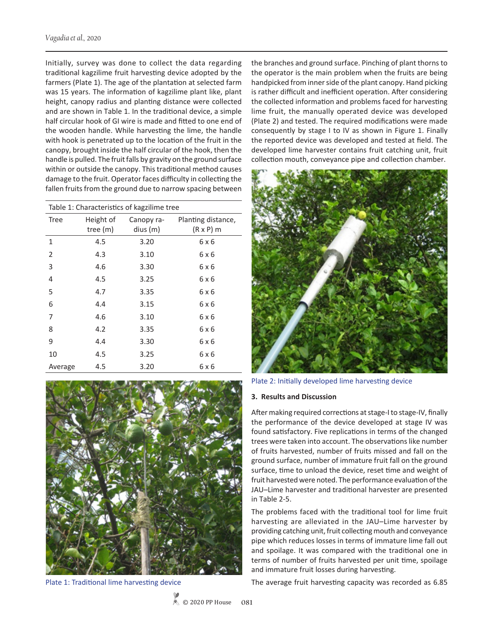Initially, survey was done to collect the data regarding traditional kagzilime fruit harvesting device adopted by the farmers (Plate 1). The age of the plantation at selected farm was 15 years. The information of kagzilime plant like, plant height, canopy radius and planting distance were collected and are shown in Table 1. In the traditional device, a simple half circular hook of GI wire is made and fitted to one end of the wooden handle. While harvesting the lime, the handle with hook is penetrated up to the location of the fruit in the canopy, brought inside the half circular of the hook, then the handle is pulled. The fruit falls by gravity on the ground surface within or outside the canopy. This traditional method causes damage to the fruit. Operator faces difficulty in collecting the fallen fruits from the ground due to narrow spacing between

| Table 1: Characteristics of kagzilime tree |                         |                        |                                        |  |  |  |  |  |
|--------------------------------------------|-------------------------|------------------------|----------------------------------------|--|--|--|--|--|
| Tree                                       | Height of<br>tree $(m)$ | Canopy ra-<br>dius (m) | Planting distance,<br>$(R \times P)$ m |  |  |  |  |  |
| 1                                          | 4.5                     | 3.20                   | 6 x 6                                  |  |  |  |  |  |
| 2                                          | 4.3                     | 3.10                   | 6 x 6                                  |  |  |  |  |  |
| 3                                          | 4.6                     | 3.30                   | 6 x 6                                  |  |  |  |  |  |
| 4                                          | 4.5                     | 3.25                   | 6 x 6                                  |  |  |  |  |  |
| 5                                          | 4.7                     | 3.35                   | 6 x 6                                  |  |  |  |  |  |
| 6                                          | 4.4                     | 3.15                   | 6 x 6                                  |  |  |  |  |  |
| 7                                          | 4.6                     | 3.10                   | 6 x 6                                  |  |  |  |  |  |
| 8                                          | 4.2                     | 3.35                   | 6 x 6                                  |  |  |  |  |  |
| 9                                          | 4.4                     | 3.30                   | 6 x 6                                  |  |  |  |  |  |
| 10                                         | 4.5                     | 3.25                   | 6 x 6                                  |  |  |  |  |  |
| Average                                    | 4.5                     | 3.20                   | 6 x 6                                  |  |  |  |  |  |



Plate 1: Traditional lime harvesting device

the branches and ground surface. Pinching of plant thorns to the operator is the main problem when the fruits are being handpicked from inner side of the plant canopy. Hand picking is rather difficult and inefficient operation. After considering the collected information and problems faced for harvesting lime fruit, the manually operated device was developed (Plate 2) and tested. The required modifications were made consequently by stage I to IV as shown in Figure 1. Finally the reported device was developed and tested at field. The developed lime harvester contains fruit catching unit, fruit collection mouth, conveyance pipe and collection chamber.



Plate 2: Initially developed lime harvesting device

#### **3. Results and Discussion**

After making required corrections at stage-I to stage-IV, finally the performance of the device developed at stage IV was found satisfactory. Five replications in terms of the changed trees were taken into account. The observations like number of fruits harvested, number of fruits missed and fall on the ground surface, number of immature fruit fall on the ground surface, time to unload the device, reset time and weight of fruit harvested were noted. The performance evaluation of the JAU–Lime harvester and traditional harvester are presented in Table 2-5.

The problems faced with the traditional tool for lime fruit harvesting are alleviated in the JAU–Lime harvester by providing catching unit, fruit collecting mouth and conveyance pipe which reduces losses in terms of immature lime fall out and spoilage. It was compared with the traditional one in terms of number of fruits harvested per unit time, spoilage and immature fruit losses during harvesting.

The average fruit harvesting capacity was recorded as 6.85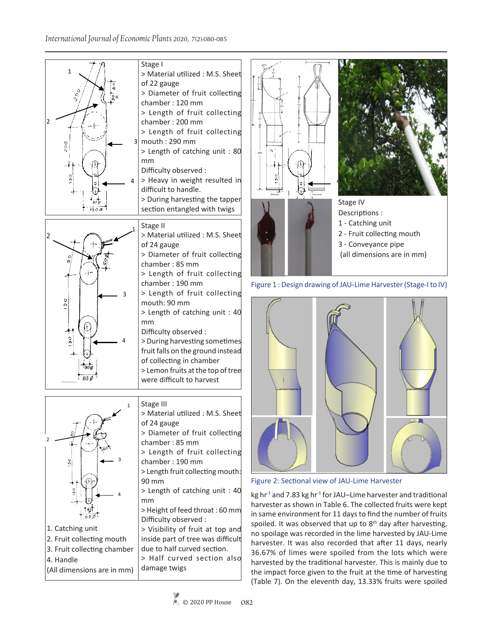



Figure 1 : Design drawing of JAU-Lime Harvester (Stage-I to IV)



Figure 2: Sectional view of JAU-Lime Harvester

kg hr<sup>-1</sup> and 7.83 kg hr<sup>-1</sup> for JAU–Lime harvester and traditional harvester as shown in Table 6. The collected fruits were kept in same environment for 11 days to find the number of fruits spoiled. It was observed that up to  $8<sup>th</sup>$  day after harvesting, no spoilage was recorded in the lime harvested by JAU-Lime harvester. It was also recorded that after 11 days, nearly 36.67% of limes were spoiled from the lots which were harvested by the traditional harvester. This is mainly due to the impact force given to the fruit at the time of harvesting (Table 7). On the eleventh day, 13.33% fruits were spoiled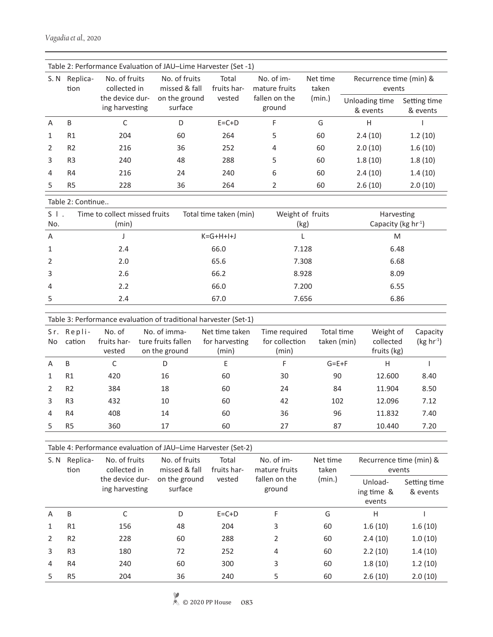|      | Table 2: Performance Evaluation of JAU-Lime Harvester (Set -1) |                                   |                                |                      |                             |                   |                                   |                          |  |  |  |  |
|------|----------------------------------------------------------------|-----------------------------------|--------------------------------|----------------------|-----------------------------|-------------------|-----------------------------------|--------------------------|--|--|--|--|
| S. N | Replica-<br>tion                                               | No. of fruits<br>collected in     | No. of fruits<br>missed & fall | Total<br>fruits har- | No. of im-<br>mature fruits | Net time<br>taken | Recurrence time (min) &<br>events |                          |  |  |  |  |
|      |                                                                | the device dur-<br>ing harvesting | on the ground<br>surface       | vested               | fallen on the<br>ground     | (min.)            | Unloading time<br>& events        | Setting time<br>& events |  |  |  |  |
| A    | B                                                              | C                                 | D                              | $E = C + D$          | F                           | G                 | н                                 |                          |  |  |  |  |
| 1    | <b>R1</b>                                                      | 204                               | 60                             | 264                  | 5                           | 60                | 2.4(10)                           | 1.2(10)                  |  |  |  |  |
|      | R <sub>2</sub>                                                 | 216                               | 36                             | 252                  | 4                           | 60                | 2.0(10)                           | 1.6(10)                  |  |  |  |  |
| 3    | R <sub>3</sub>                                                 | 240                               | 48                             | 288                  | 5                           | 60                | 1.8(10)                           | 1.8(10)                  |  |  |  |  |
| 4    | R4                                                             | 216                               | 24                             | 240                  | 6                           | 60                | 2.4(10)                           | 1.4(10)                  |  |  |  |  |
| 5.   | R <sub>5</sub>                                                 | 228                               | 36                             | 264                  | 2                           | 60                | 2.6(10)                           | 2.0(10)                  |  |  |  |  |

Table 2: Continue..

| S I<br>No.     | Time to collect missed fruits<br>(min) | Total time taken (min) | Weight of fruits<br>(kg) | Harvesting<br>Capacity (kg hr <sup>-1</sup> ) |
|----------------|----------------------------------------|------------------------|--------------------------|-----------------------------------------------|
| A              |                                        | $K = G + H + H$        |                          | M                                             |
| 1              | 2.4                                    | 66.0                   | 7.128                    | 6.48                                          |
| 2              | 2.0                                    | 65.6                   | 7.308                    | 6.68                                          |
| 3              | 2.6                                    | 66.2                   | 8.928                    | 8.09                                          |
| $\overline{4}$ | 2.2                                    | 66.0                   | 7.200                    | 6.55                                          |
| 5              | 2.4                                    | 67.0                   | 7.656                    | 6.86                                          |

| Sr.<br>No. | Repli-<br>cation | No. of<br>fruits har-<br>vested | No. of imma-<br>ture fruits fallen<br>on the ground | Net time taken<br>for harvesting<br>(min) | Time required<br>for collection<br>(min) | Total time<br>taken (min) | Weight of<br>collected<br>fruits (kg) | Capacity<br>$(kg hr-1)$ |
|------------|------------------|---------------------------------|-----------------------------------------------------|-------------------------------------------|------------------------------------------|---------------------------|---------------------------------------|-------------------------|
| A          | B                | C                               | D                                                   | E                                         | F                                        | $G = E + F$               | H                                     |                         |
| 1          | R1               | 420                             | 16                                                  | 60                                        | 30                                       | 90                        | 12.600                                | 8.40                    |
|            | R <sub>2</sub>   | 384                             | 18                                                  | 60                                        | 24                                       | 84                        | 11.904                                | 8.50                    |
| 3          | R <sub>3</sub>   | 432                             | 10                                                  | 60                                        | 42                                       | 102                       | 12.096                                | 7.12                    |
| 4          | R <sub>4</sub>   | 408                             | 14                                                  | 60                                        | 36                                       | 96                        | 11.832                                | 7.40                    |
|            | R <sub>5</sub>   | 360                             | 17                                                  | 60                                        | 27                                       | 87                        | 10.440                                | 7.20                    |

Table 4: Performance evaluation of JAU–Lime Harvester (Set-2)

| S.N<br>tion | Replica-       | No. of fruits<br>collected in     | No. of fruits<br>missed & fall<br>on the ground<br>surface | No. of im-<br>Total<br>fruits har-<br>mature fruits<br>vested<br>fallen on the<br>ground | Net time<br>taken | Recurrence time (min) &<br>events |                                 |                          |
|-------------|----------------|-----------------------------------|------------------------------------------------------------|------------------------------------------------------------------------------------------|-------------------|-----------------------------------|---------------------------------|--------------------------|
|             |                | the device dur-<br>ing harvesting |                                                            |                                                                                          |                   | (min.)                            | Unload-<br>ing time &<br>events | Setting time<br>& events |
| A           | B              | C                                 | D                                                          | $E = C + D$                                                                              | F                 | G                                 | Н                               |                          |
| 1           | R <sub>1</sub> | 156                               | 48                                                         | 204                                                                                      | 3                 | 60                                | 1.6(10)                         | 1.6(10)                  |
| 2           | R <sub>2</sub> | 228                               | 60                                                         | 288                                                                                      | 2                 | 60                                | 2.4(10)                         | 1.0(10)                  |
| 3           | R <sub>3</sub> | 180                               | 72                                                         | 252                                                                                      | 4                 | 60                                | 2.2(10)                         | 1.4(10)                  |
| 4           | R4             | 240                               | 60                                                         | 300                                                                                      | 3                 | 60                                | 1.8(10)                         | 1.2(10)                  |
| 5           | R <sub>5</sub> | 204                               | 36                                                         | 240                                                                                      | 5                 | 60                                | 2.6(10)                         | 2.0(10)                  |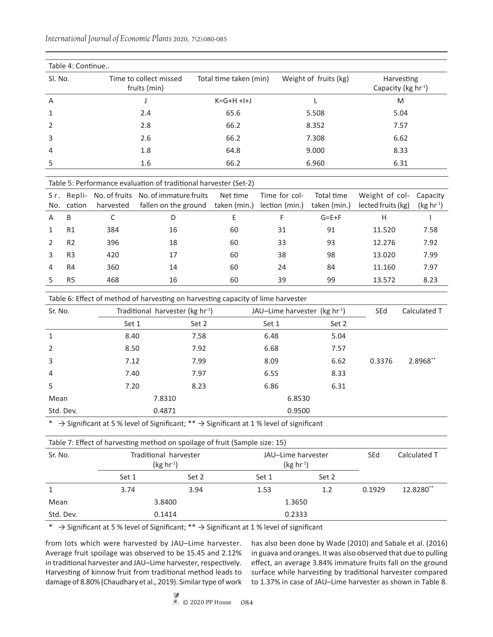|              | Table 4: Continue |                      |                                                                  |                        |                |                       |                                               |        |
|--------------|-------------------|----------------------|------------------------------------------------------------------|------------------------|----------------|-----------------------|-----------------------------------------------|--------|
| SI. No.      |                   |                      | Time to collect missed<br>fruits (min)                           | Total time taken (min) |                | Weight of fruits (kg) | Harvesting<br>Capacity (kg hr <sup>-1</sup> ) |        |
| A            |                   |                      |                                                                  | $K = G + H + I + J$    |                | L                     | M                                             |        |
| 1            |                   |                      | 2.4                                                              | 65.6                   |                | 5.508                 | 5.04                                          |        |
| 2            |                   |                      | 2.8                                                              | 66.2                   |                | 8.352                 | 7.57                                          |        |
| 3            |                   |                      | 2.6                                                              | 66.2                   |                | 7.308                 | 6.62                                          |        |
| 4            |                   | 1.8<br>9.000<br>64.8 |                                                                  |                        | 8.33           |                       |                                               |        |
| 5            |                   |                      | 1.6                                                              | 66.2                   |                | 6.960                 | 6.31                                          |        |
|              |                   |                      | Table 5: Performance evaluation of traditional harvester (Set-2) |                        |                |                       |                                               |        |
| Sr.          | Repli-            | No. of fruits        | No. of immature fruits                                           | Net time               | Time for col-  | Total time            | Weight of col-                                | Capaci |
| No.          | cation            | harvested            | fallen on the ground                                             | taken (min.)           | lection (min.) | taken (min.)          | lected fruits (kg)                            | (kg hr |
| A            | B                 | C                    | D                                                                | E                      | F              | $G = E + F$           | H                                             |        |
| $\mathbf{1}$ | R1                | 384                  | 16                                                               | 60                     | 31             | 91                    | 11.520                                        | 7.58   |
| 2            | R <sub>2</sub>    | 396                  | 18                                                               | 60                     | 33             | 93                    | 12.276                                        | 7.92   |
| 3            | R <sub>3</sub>    | 420                  | 17                                                               | 60                     | 38             | 98                    | 13.020                                        | 7.99   |
| 4            | R <sub>4</sub>    | 360                  | 14                                                               | 60                     | 24             | 84                    | 11.160                                        | 7.97   |
| 5            | R <sub>5</sub>    | 468                  | 16                                                               | 60                     | 39             | 99                    | 13.572                                        | 8.23   |

*International Journal of Economic Plants* 2020, 7(2):080-085

| Table 6: Effect of method of harvesting on harvesting capacity of lime harvester |  |  |  |
|----------------------------------------------------------------------------------|--|--|--|
|                                                                                  |  |  |  |

| Sr. No.        | Traditional harvester ( $kg \ hr^{-1}$ ) |        | JAU-Lime harvester ( $kg \ hr^{-1}$ ) |       | SEd    | Calculated T |
|----------------|------------------------------------------|--------|---------------------------------------|-------|--------|--------------|
|                | Set 1                                    | Set 2  | Set 1                                 | Set 2 |        |              |
| $\mathbf{1}$   | 8.40                                     | 7.58   | 6.48                                  | 5.04  |        |              |
| $\overline{2}$ | 8.50                                     | 7.92   | 6.68                                  | 7.57  |        |              |
| 3              | 7.12                                     | 7.99   | 8.09                                  | 6.62  | 0.3376 | 2.8968**     |
| $\overline{4}$ | 7.40                                     | 7.97   | 6.55                                  | 8.33  |        |              |
| 5              | 7.20                                     | 8.23   | 6.86                                  | 6.31  |        |              |
| Mean           | 7.8310                                   |        | 6.8530                                |       |        |              |
| Std. Dev.      |                                          | 0.4871 | 0.9500                                |       |        |              |

\*  $\rightarrow$  Significant at 5 % level of Significant; \*\*  $\rightarrow$  Significant at 1 % level of significant

|           |                                      | Table 7: Effect of harvesting method on spoilage of fruit (Sample size: 15) |       |                                   |            |              |
|-----------|--------------------------------------|-----------------------------------------------------------------------------|-------|-----------------------------------|------------|--------------|
| Sr. No.   | Traditional harvester<br>$(kg hr-1)$ |                                                                             |       | JAU-Lime harvester<br>$(kg hr-1)$ | <b>SEd</b> | Calculated T |
|           | Set 1                                | Set 2                                                                       | Set 1 | Set 2                             |            |              |
| 1         | 3.74                                 | 3.94                                                                        | 1.53  | 1.2                               | 0.1929     | 12.8280**    |
| Mean      |                                      | 3.8400                                                                      |       | 1.3650                            |            |              |
| Std. Dev. |                                      | 0.1414                                                                      |       | 0.2333                            |            |              |

\*  $\rightarrow$  Significant at 5 % level of Significant; \*\*  $\rightarrow$  Significant at 1 % level of significant

from lots which were harvested by JAU–Lime harvester. Average fruit spoilage was observed to be 15.45 and 2.12% in traditional harvester and JAU–Lime harvester, respectively. Harvesting of kinnow fruit from traditional method leads to damage of 8.80% (Chaudhary et al., 2019). Similar type of work has also been done by Wade (2010) and Sabale et al. (2016) in guava and oranges. It was also observed that due to pulling effect, an average 3.84% immature fruits fall on the ground surface while harvesting by traditional harvester compared to 1.37% in case of JAU–Lime harvester as shown in Table 8.

Weight of col-Capacity

 $(kg hr<sup>-1</sup>)$